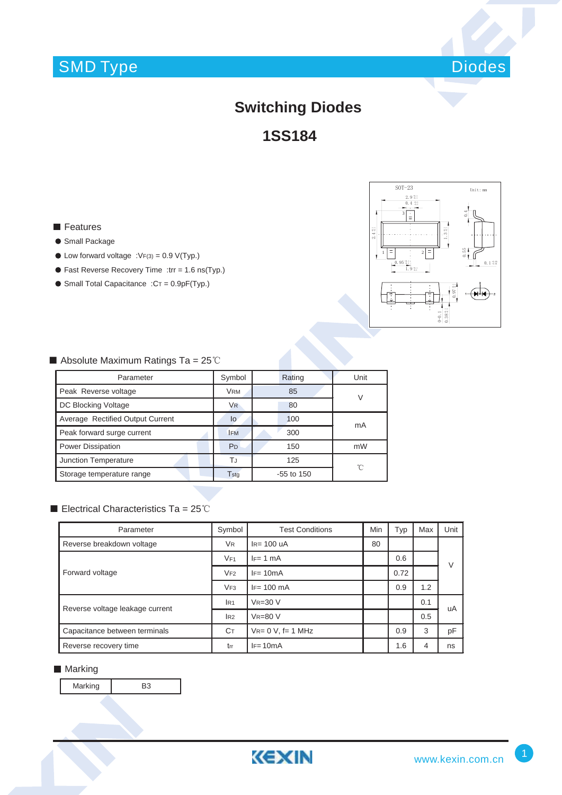## SMD Type



### **Switching Diodes**

**1SS184**

**Features** 

- Small Package
- $\bullet$  Low forward voltage :VF(3) = 0.9 V(Typ.)
- Fast Reverse Recovery Time :trr = 1.6 ns(Typ.)
- $\bullet$  Small Total Capacitance :  $CT = 0.9pF(Typ.)$



#### $\blacksquare$  Absolute Maximum Ratings Ta = 25°C

| Parameter                        | Symbol         | Rating       | Unit |  |
|----------------------------------|----------------|--------------|------|--|
| Peak Reverse voltage             | <b>VRM</b>     | 85           | V    |  |
| DC Blocking Voltage              | <b>VR</b>      | 80           |      |  |
| Average Rectified Output Current | lo             | 100          | mA   |  |
| Peak forward surge current       | <b>IFM</b>     | 300          |      |  |
| <b>Power Dissipation</b>         | P <sub>D</sub> | 150          | mW   |  |
| Junction Temperature             | ТJ             | 125          | 'n   |  |
| Storage temperature range        | Tstg           | $-55$ to 150 |      |  |

#### Electrical Characteristics Ta =  $25^{\circ}$ C

| Parameter                       | Symbol          | <b>Test Conditions</b>   | Min | Typ  | Max | Unit   |  |
|---------------------------------|-----------------|--------------------------|-----|------|-----|--------|--|
| Reverse breakdown voltage       | V <sub>R</sub>  | $IR= 100$ uA             | 80  |      |     |        |  |
| Forward voltage                 | VF1             | $IF = 1 mA$              |     | 0.6  |     | $\vee$ |  |
|                                 | VF2             | $IF = 10mA$              |     | 0.72 |     |        |  |
|                                 | VF3             | $IF = 100 \text{ mA}$    |     | 0.9  | 1.2 |        |  |
| Reverse voltage leakage current | IR <sub>1</sub> | $VR = 30 V$              |     |      | 0.1 | uA     |  |
|                                 | IR2             | <b>VR=80 V</b>           |     |      | 0.5 |        |  |
| Capacitance between terminals   | Cт              | $V_{R} = 0 V$ , f= 1 MHz |     | 0.9  | 3   | pF     |  |
| Reverse recovery time           | trr             | $IF = 10mA$              |     | 1.6  | 4   | ns     |  |

#### **Marking**

Marking B3